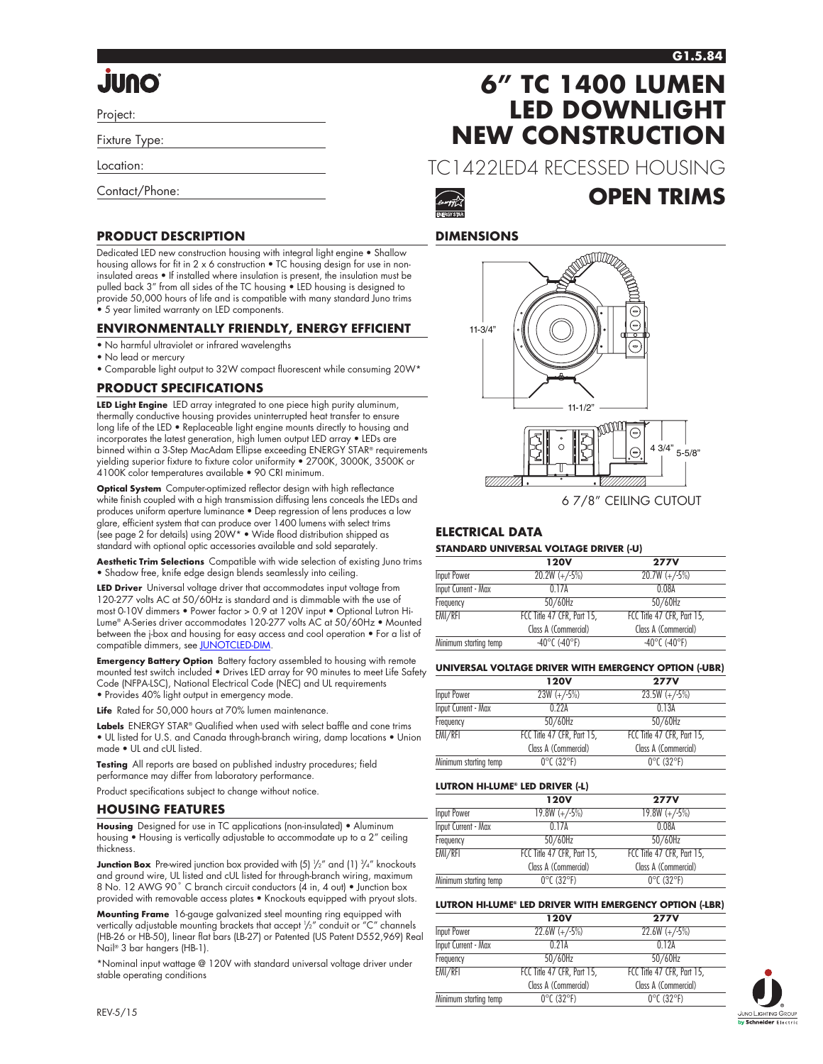# **QNUL**

Project:

Fixture Type:

Location:

Contact/Phone:

# **PRODUCT DESCRIPTION**

Dedicated LED new construction housing with integral light engine • Shallow housing allows for fit in 2 x 6 construction • TC housing design for use in noninsulated areas • If installed where insulation is present, the insulation must be pulled back 3" from all sides of the TC housing • LED housing is designed to provide 50,000 hours of life and is compatible with many standard Juno trims • 5 year limited warranty on LED components.

# **ENVIRONMENTALLY FRIENDLY, ENERGY EFFICIENT**

- No harmful ultraviolet or infrared wavelengths
- No lead or mercury
- Comparable light output to 32W compact fluorescent while consuming 20W\*

# **PRODUCT SPECIFICATIONS**

**LED Light Engine** LED array integrated to one piece high purity aluminum, thermally conductive housing provides uninterrupted heat transfer to ensure long life of the LED • Replaceable light engine mounts directly to housing and incorporates the latest generation, high lumen output LED array • LEDs are binned within a 3-Step MacAdam Ellipse exceeding ENERGY STAR® requirements yielding superior fixture to fixture color uniformity • 2700K, 3000K, 3500K or 4100K color temperatures available • 90 CRI minimum.

**Optical System** Computer-optimized reflector design with high reflectance white finish coupled with a high transmission diffusing lens conceals the LEDs and produces uniform aperture luminance • Deep regression of lens produces a low glare, efficient system that can produce over 1400 lumens with select trims (see page 2 for details) using 20W\* • Wide flood distribution shipped as standard with optional optic accessories available and sold separately.

**Aesthetic Trim Selections** Compatible with wide selection of existing Juno trims • Shadow free, knife edge design blends seamlessly into ceiling.

**LED Driver** Universal voltage driver that accommodates input voltage from 120-277 volts AC at 50/60Hz is standard and is dimmable with the use of most 0-10V dimmers • Power factor > 0.9 at 120V input • Optional Lutron Hi-Lume® A-Series driver accommodates 120-277 volts AC at 50/60Hz • Mounted between the j-box and housing for easy access and cool operation • For a list of compatible dimmers, see [JUNOTCLED-DIM](http://www.junolightinggroup.com/Attachments/images/content/SpecSheets/JUNOTCLED-DIM.pdf).

**Emergency Battery Option** Battery factory assembled to housing with remote mounted test switch included • Drives LED array for 90 minutes to meet Life Safety Code (NFPA-LSC), National Electrical Code (NEC) and UL requirements • Provides 40% light output in emergency mode.

Life Rated for 50,000 hours at 70% lumen maintenance.

**Labels** ENERGY STAR® Qualified when used with select baffle and cone trims • UL listed for U.S. and Canada through-branch wiring, damp locations • Union made • UL and cUL listed.

**Testing** All reports are based on published industry procedures; field performance may differ from laboratory performance.

Product specifications subject to change without notice.

### **HOUSING FEATURES**

**Housing** Designed for use in TC applications (non-insulated) • Aluminum housing • Housing is vertically adjustable to accommodate up to a 2" ceiling thickness.

**Junction Box** Pre-wired junction box provided with (5)  $\frac{1}{2}$ " and (1)  $\frac{3}{4}$ " knockouts and ground wire, UL listed and cUL listed for through-branch wiring, maximum 8 No. 12 AWG 90° C branch circuit conductors (4 in, 4 out) • Junction box provided with removable access plates • Knockouts equipped with pryout slots.

**Mounting Frame** 16-gauge galvanized steel mounting ring equipped with vertically adjustable mounting brackets that accept 1 /2" conduit or "C" channels (HB-26 or HB-50), linear flat bars (LB-27) or Patented (US Patent D552,969) Real Nail® 3 bar hangers (HB-1).

\*Nominal input wattage @ 120V with standard universal voltage driver under stable operating conditions

# **6" TC 1400 LUMEN LED DOWNLIGHT NEW CONSTRUCTION**

TC1422LED4 RECESSED HOUSING



# **OPEN TRIMS**

# **DIMENSIONS**



# 6 7/8" CEILING CUTOUT

# **ELECTRICAL DATA**

### **STANDARD UNIVERSAL VOLTAGE DRIVER (-U)**

|                            | <b>120V</b>                        | <b>277V</b>                        |
|----------------------------|------------------------------------|------------------------------------|
| Input Power                | $20.2W (+/-5%)$                    | $20.7W (+/-5%)$                    |
| <b>Input Current - Max</b> | 0 1 7 A                            | 0.08A                              |
| Frequency                  | $50/60$ Hz                         | $50/60$ Hz                         |
| EMI/RFI                    | FCC Title 47 CFR, Part 15,         | FCC Title 47 CFR, Part 15,         |
|                            | Class A (Commercial)               | Class A (Commercial)               |
| Minimum starting temp      | $-40^{\circ}$ C ( $-40^{\circ}$ F) | $-40^{\circ}$ C ( $-40^{\circ}$ F) |

#### **UNIVERSAL VOLTAGE DRIVER WITH EMERGENCY OPTION (-UBR)**

|                            | <b>120V</b>                     | <b>277V</b>                     |
|----------------------------|---------------------------------|---------------------------------|
| <b>Input Power</b>         | $23W (+/-5%)$                   | $23.5W (+/-5%)$                 |
| <b>Input Current - Max</b> | 0.224                           | 0.13A                           |
| Frequency                  | 50/60Hz                         | 50/60Hz                         |
| EMI/RFI                    | FCC Title 47 CFR, Part 15,      | FCC Title 47 CFR, Part 15,      |
|                            | Class A (Commercial)            | Class A (Commercial)            |
| Minimum starting temp      | $0^{\circ}$ C (32 $^{\circ}$ F) | $0^{\circ}$ C (32 $^{\circ}$ F) |

#### **LUTRON HI-LUME® LED DRIVER (-L)**

|                            | <b>120V</b>                     | <b>277V</b>                     |
|----------------------------|---------------------------------|---------------------------------|
| Input Power                | $19.8W (+/-5%)$                 | $19.8W (+/-5%)$                 |
| <b>Input Current - Max</b> | 0.17A                           | 0.08A                           |
| Frequency                  | 50/60Hz                         | 50/60Hz                         |
| EMI/RFI                    | FCC Title 47 CFR, Part 15,      | FCC Title 47 CFR, Part 15,      |
|                            | Class A (Commercial)            | Class A (Commercial)            |
| Minimum starting temp      | $0^{\circ}$ C (32 $^{\circ}$ F) | $0^{\circ}$ C (32 $^{\circ}$ F) |

#### **LUTRON HI-LUME® LED DRIVER WITH EMERGENCY OPTION (-LBR)**

|                       | <b>120V</b>                     | <b>277V</b>                     |
|-----------------------|---------------------------------|---------------------------------|
| Input Power           | $22.6W (+/-5%)$                 | $22.6W (+/-5%)$                 |
| Input Current - Max   | 0.21A                           | 012A                            |
| Frequency             | $50/60$ Hz                      | $50/60$ Hz                      |
| EMI/RFI               | FCC Title 47 CFR, Part 15,      | FCC Title 47 CFR, Part 15,      |
|                       | Class A (Commercial)            | Class A (Commercial)            |
| Minimum starting temp | $0^{\circ}$ C (32 $^{\circ}$ F) | $0^{\circ}$ C (32 $^{\circ}$ F) |